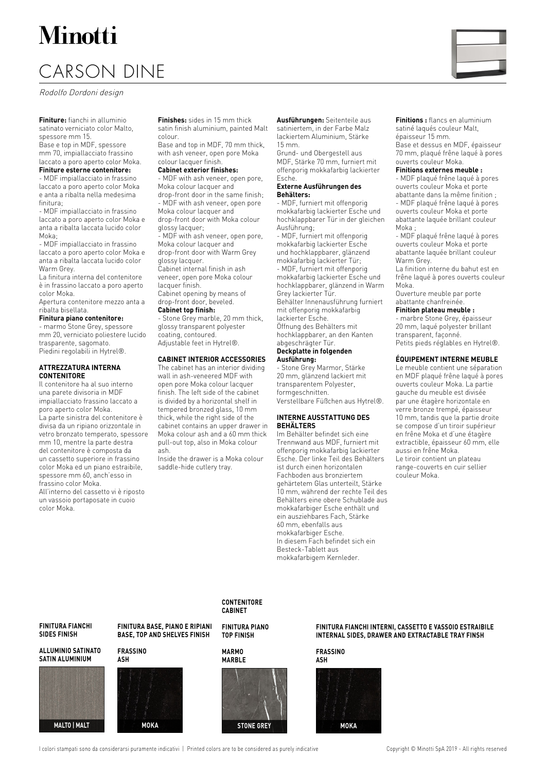# Minotti

### CARSON DINE

Rodolfo Dordoni design

**Finiture:** fianchi in alluminio satinato verniciato color Malto, spessore mm 15.

Base e top in MDF, spessore mm 70, impiallacciato frassino laccato a poro aperto color Moka.

#### **Finiture esterne contenitore:**

- MDF impiallacciato in frassino laccato a poro aperto color Moka e anta a ribalta nella medesima finitura;

- MDF impiallacciato in frassino laccato a poro aperto color Moka e anta a ribalta laccata lucido color Moka;

- MDF impiallacciato in frassino laccato a poro aperto color Moka e anta a ribalta laccata lucido color Warm Grey.

La finitura interna del contenitore è in frassino laccato a poro aperto color Moka.

Apertura contenitore mezzo anta a ribalta bisellata.

#### **Finitura piano contenitore:**

- marmo Stone Grey, spessore mm 20, verniciato poliestere lucido trasparente, sagomato. Piedini regolabili in Hytrel®.

#### **ATTREZZATURA INTERNA CONTENITORE**

Il contenitore ha al suo interno una parete divisoria in MDF impiallacciato frassino laccato a poro aperto color Moka. La parte sinistra del contenitore è divisa da un ripiano orizzontale in vetro bronzato temperato, spessore mm 10, mentre la parte destra del contenitore è composta da un cassetto superiore in frassino color Moka ed un piano estraibile, spessore mm 60, anch'esso in frassino color Moka. All'interno del cassetto vi è riposto un vassoio portaposate in cuoio color Moka.

**Finishes:** sides in 15 mm thick satin finish aluminium, painted Malt colour.

Base and top in MDF, 70 mm thick, with ash veneer, open pore Moka colour lacquer finish.

#### **Cabinet exterior finishes:**

- MDF with ash veneer, open pore, Moka colour lacquer and drop-front door in the same finish;

- MDF with ash veneer, open pore Moka colour lacquer and drop-front door with Moka colour glossy lacquer;

- MDF with ash veneer, open pore, Moka colour lacquer and drop-front door with Warm Grey

glossy lacquer. Cabinet internal finish in ash

veneer, open pore Moka colour lacquer finish. Cabinet opening by means of

drop-front door, beveled. **Cabinet top finish:**

- Stone Grey marble, 20 mm thick, glossy transparent polyester coating, contoured. Adjustable feet in Hytrel®.

#### **CABINET INTERIOR ACCESSORIES**

The cabinet has an interior dividing wall in ash-veneered MDF with open pore Moka colour lacquer finish. The left side of the cabinet is divided by a horizontal shelf in tempered bronzed glass, 10 mm thick, while the right side of the cabinet contains an upper drawer in Moka colour ash and a 60 mm thick pull-out top, also in Moka colour ash.

Inside the drawer is a Moka colour saddle-hide cutlery tray.

**Ausführungen:** Seitenteile aus satiniertem, in der Farbe Malz lackiertem Aluminium, Stärke 15 mm.

Grund- und Obergestell aus MDF, Stärke 70 mm, furniert mit offenporig mokkafarbig lackierter Esche.

#### **Externe Ausführungen des Behälters:**

- MDF, furniert mit offenporig mokkafarbig lackierter Esche und hochklappbarer Tür in der gleichen Ausführung;

- MDF, furniert mit offenporig mokkafarbig lackierter Esche und hochklappbarer, glänzend mokkafarbig lackierter Tür;

- MDF, furniert mit offenporig mokkafarbig lackierter Esche und hochklappbarer, glänzend in Warm Grey lackierter Tür. Behälter Innenausführung furniert mit offenporig mokkafarbig

lackierter Esche. Öffnung des Behälters mit hochklappbarer, an den Kanten abgeschrägter Tür.

#### **Deckplatte in folgenden Ausführung:**

- Stone Grey Marmor, Stärke 20 mm, glänzend lackiert mit transparentem Polyester, formgeschnitten.

Verstellbare Füßchen aus Hytrel®.

#### **INTERNE AUSSTATTUNG DES BEHÄLTERS**

Im Behälter befindet sich eine Trennwand aus MDF, furniert mit offenporig mokkafarbig lackierter Esche. Der linke Teil des Behälters ist durch einen horizontalen Fachboden aus bronziertem gehärtetem Glas unterteilt, Stärke 10 mm, während der rechte Teil des Behälters eine obere Schublade aus mokkafarbiger Esche enthält und ein ausziehbares Fach, Stärke 60 mm, ebenfalls aus mokkafarbiger Esche. In diesem Fach befindet sich ein Besteck-Tablett aus mokkafarbigem Kernleder.

**Finitions :** flancs en aluminium satiné laqués couleur Malt, épaisseur 15 mm.

Base et dessus en MDF, épaisseur 70 mm, plaqué frêne laqué à pores ouverts couleur Moka.

#### **Finitions externes meuble :**

- MDF plaqué frêne laqué à pores ouverts couleur Moka et porte abattante dans la même finition ;

- MDF plaqué frêne laqué à pores ouverts couleur Moka et porte abattante laquée brillant couleur Moka ;

- MDF plaqué frêne laqué à pores ouverts couleur Moka et porte abattante laquée brillant couleur Warm Grey.

La finition interne du bahut est en frêne laqué à pores ouverts couleur Moka.

Ouverture meuble par porte abattante chanfreinée.

#### **Finition plateau meuble :**

- marbre Stone Grey, épaisseur 20 mm, laqué polyester brillant transparent, façonné. Petits pieds réglables en Hytrel®.

#### **ÉQUIPEMENT INTERNE MEUBLE**

Le meuble contient une séparation en MDF plaqué frêne laqué à pores ouverts couleur Moka. La partie gauche du meuble est divisée par une étagère horizontale en verre bronze trempé, épaisseur 10 mm, tandis que la partie droite se compose d'un tiroir supérieur en frêne Moka et d'une étagère extractible, épaisseur 60 mm, elle aussi en frêne Moka. Le tiroir contient un plateau range-couverts en cuir sellier couleur Moka.

#### **FINITURA FIANCHI SIDES FINISH**

#### **ALLUMINIO SATINATO SATIN ALUMINIUM**



**FINITURA BASE, PIANO E RIPIANI BASE, TOP AND SHELVES FINISH**

#### **FRASSINO ASH**



**CONTENITORE CABINET**

**FINITURA PIANO TOP FINISH**

#### **MARMO MARBLE**



#### **FINITURA FIANCHI INTERNI, CASSETTO E VASSOIO ESTRAIBILE INTERNAL SIDES, DRAWER AND EXTRACTABLE TRAY FINSH**

**FRASSINO ASH**